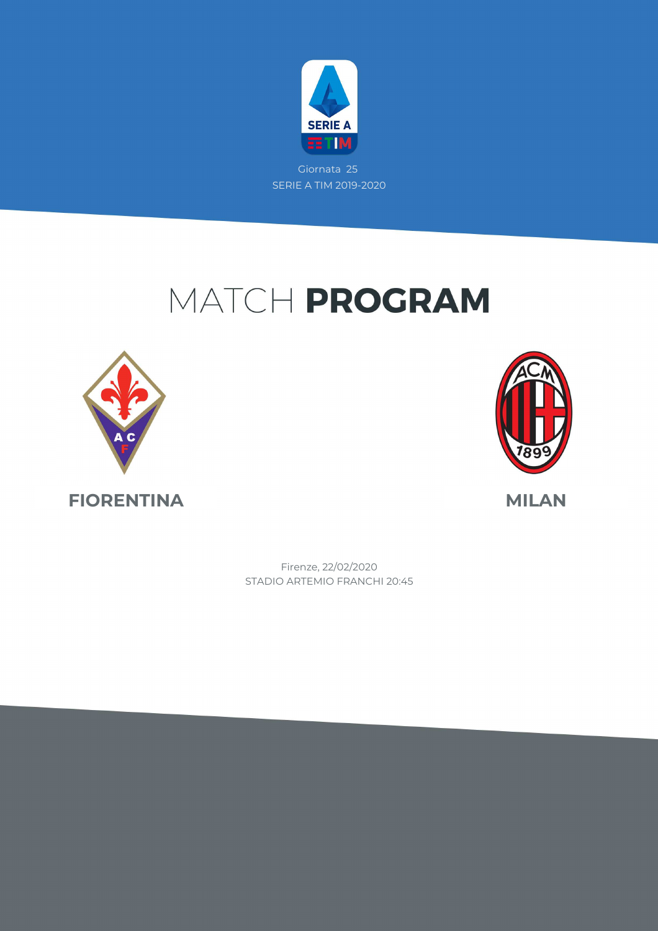

### MATCH PROGRAM





STADIO ARTEMIO FRANCHI 20:45 Firenze, 22/02/2020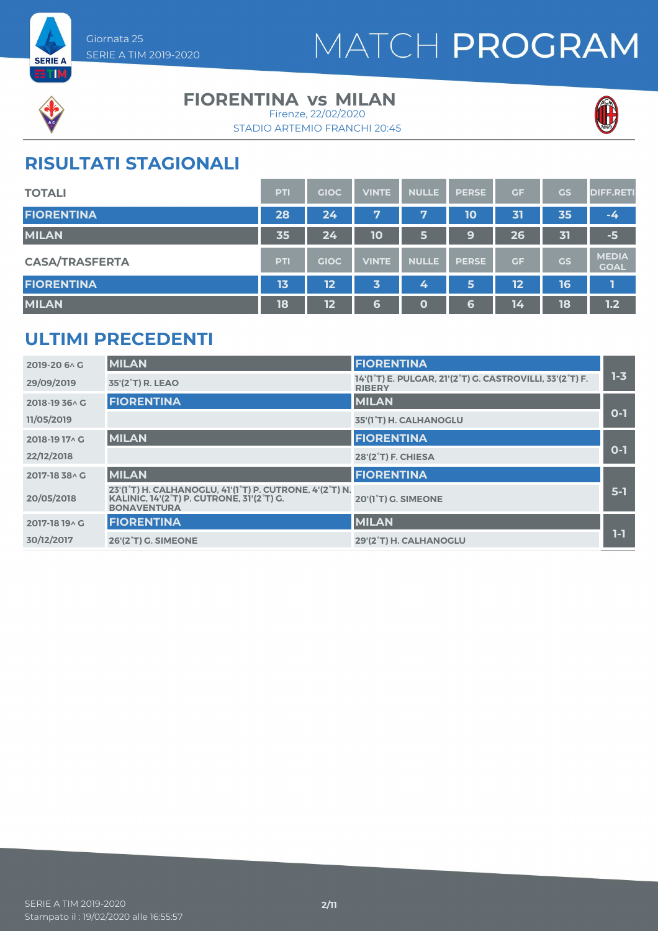



#### **FIORENTINA vs MILAN**

STADIO ARTEMIO FRANCHI 20:45 Firenze, 22/02/2020



### **RISULTATI STAGIONALI**

| <b>TOTALI</b>         | <b>PTI</b> | <b>GIOC</b>      | <b>VINTE</b> | <b>NULLE</b> | <b>PERSE</b> | GF | <b>GS</b> | <b>DIFF.RETI</b>            |
|-----------------------|------------|------------------|--------------|--------------|--------------|----|-----------|-----------------------------|
| <b>FIORENTINA</b>     | 28         | 24 <sup>1</sup>  | 7            | 7            | 10           | 31 | 35        | $-4$                        |
| <b>MILAN</b>          | 35         | $\overline{2}$ 4 | 10           | 6            | 9            | 26 | 31        | $-5$                        |
| <b>CASA/TRASFERTA</b> | <b>PTI</b> | <b>GIOC</b>      | <b>VINTE</b> | <b>NULLE</b> | <b>PERSE</b> | GF | GS        | <b>MEDIA</b><br><b>GOAL</b> |
| <b>FIORENTINA</b>     | 13         | 12               | 3            | 4            | 5            | 12 | 16        |                             |
| <b>MILAN</b>          | 18         | 12               | 6            | 0            | 6            | 14 | 18        | 1.2                         |

#### **ULTIMI PRECEDENTI**

| 2019-20 6 \ G  | <b>MILAN</b>                                                                                                                                         | <b>FIORENTINA</b>                                                         |       |
|----------------|------------------------------------------------------------------------------------------------------------------------------------------------------|---------------------------------------------------------------------------|-------|
| 29/09/2019     | 35'(2 <sup>°</sup> T) R. LEAO                                                                                                                        | 14'(1°T) E. PULGAR, 21'(2°T) G. CASTROVILLI, 33'(2°T) F.<br><b>RIBERY</b> | $1-3$ |
| 2018-19 36 \ G | <b>FIORENTINA</b>                                                                                                                                    | <b>MILAN</b>                                                              |       |
| 11/05/2019     |                                                                                                                                                      | 35'(1°T) H. CALHANOGLU                                                    | $O-1$ |
| 2018-19 17 \ G | <b>MILAN</b>                                                                                                                                         | <b>FIORENTINA</b>                                                         |       |
| 22/12/2018     |                                                                                                                                                      | 28'(2 <sup>°</sup> T) F. CHIESA                                           | $O-1$ |
| 2017-18 38 A G | <b>MILAN</b>                                                                                                                                         | <b>FIORENTINA</b>                                                         |       |
| 20/05/2018     | 23'(1°T) H. CALHANOGLU, 41'(1°T) P. CUTRONE, 4'(2°T) N.<br>KALINIC, 14'(2 <sup>°</sup> T) P. CUTRONE, 31'(2 <sup>°</sup> T) G.<br><b>BONAVENTURA</b> | 20'(1 <sup>°</sup> T) G. SIMEONE                                          | $5-1$ |
| 2017-18 19 A G | <b>FIORENTINA</b>                                                                                                                                    | <b>MILAN</b>                                                              |       |
| 30/12/2017     | <b>26'(2°T) G. SIMEONE</b>                                                                                                                           | 29'(2°T) H. CALHANOGLU                                                    | 1-1   |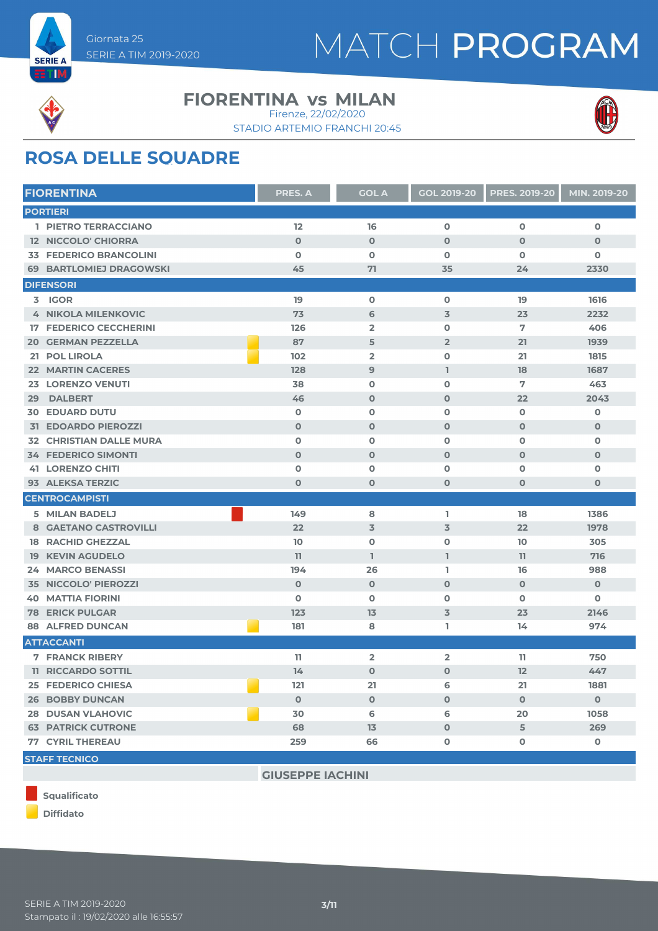



#### **FIORENTINA vs MILAN**

STADIO ARTEMIO FRANCHI 20:45 Firenze, 22/02/2020



### **ROSA DELLE SQUADRE**

| <b>FIORENTINA</b>              | <b>PRES. A</b> | <b>GOL A</b>   | <b>GOL 2019-20</b> | <b>PRES. 2019-20</b> | MIN. 2019-20 |
|--------------------------------|----------------|----------------|--------------------|----------------------|--------------|
| <b>PORTIERI</b>                |                |                |                    |                      |              |
| 1 PIETRO TERRACCIANO           | 12             | 16             | O                  | $\mathbf 0$          | $\mathbf 0$  |
| <b>12 NICCOLO' CHIORRA</b>     | $\mathbf 0$    | $\mathbf 0$    | $\mathbf 0$        | $\mathbf 0$          | $\mathbf 0$  |
| <b>33 FEDERICO BRANCOLINI</b>  | $\mathbf o$    | $\mathbf 0$    | $\mathbf{o}$       | $\mathbf 0$          | 0            |
| <b>69 BARTLOMIEJ DRAGOWSKI</b> | 45             | 71             | 35                 | 24                   | 2330         |
| <b>DIFENSORI</b>               |                |                |                    |                      |              |
| 3 IGOR                         | 19             | $\mathbf 0$    | $\mathbf 0$        | 19                   | 1616         |
| <b>4 NIKOLA MILENKOVIC</b>     | 73             | 6              | $\overline{3}$     | 23                   | 2232         |
| <b>17 FEDERICO CECCHERINI</b>  | 126            | $\overline{2}$ | $\mathbf 0$        | 7                    | 406          |
| <b>20 GERMAN PEZZELLA</b>      | 87             | 5              | $\overline{2}$     | 21                   | 1939         |
| 21 POL LIROLA                  | 102            | $\overline{2}$ | $\mathbf{o}$       | 21                   | 1815         |
| <b>22 MARTIN CACERES</b>       | 128            | 9              | $\mathbf{I}$       | 18                   | 1687         |
| <b>23 LORENZO VENUTI</b>       | 38             | $\mathbf 0$    | $\mathbf 0$        | 7                    | 463          |
| <b>DALBERT</b><br>29           | 46             | $\mathbf 0$    | $\mathbf 0$        | 22                   | 2043         |
| <b>30 EDUARD DUTU</b>          | $\mathbf 0$    | $\mathbf 0$    | $\mathbf{o}$       | $\mathbf 0$          | $\mathbf 0$  |
| <b>31 EDOARDO PIEROZZI</b>     | $\mathbf 0$    | $\mathbf 0$    | $\mathbf 0$        | $\mathbf 0$          | $\mathbf 0$  |
| <b>32 CHRISTIAN DALLE MURA</b> | $\mathbf 0$    | $\mathbf 0$    | $\mathbf 0$        | $\mathbf 0$          | $\mathbf 0$  |
| <b>34 FEDERICO SIMONTI</b>     | $\mathbf 0$    | $\mathbf 0$    | $\mathbf 0$        | $\mathbf 0$          | $\mathbf 0$  |
| <b>41 LORENZO CHITI</b>        | 0              | $\mathbf 0$    | $\mathbf{o}$       | $\mathbf 0$          | $\mathbf 0$  |
| 93 ALEKSA TERZIC               | $\mathbf{O}$   | $\mathbf 0$    | $\mathbf 0$        | $\mathbf 0$          | $\mathbf 0$  |
| <b>CENTROCAMPISTI</b>          |                |                |                    |                      |              |
| 5 MILAN BADELJ                 | 149            | 8              | L.                 | 18                   | 1386         |
| 8 GAETANO CASTROVILLI          | 22             | $\overline{3}$ | $\overline{3}$     | 22                   | 1978         |
| <b>18 RACHID GHEZZAL</b>       | 10             | $\mathbf 0$    | $\mathbf{o}$       | 10                   | 305          |
| <b>19 KEVIN AGUDELO</b>        | 11             | L              | $\mathbb{I}$       | 11                   | 716          |
| <b>24 MARCO BENASSI</b>        | 194            | 26             | L.                 | 16                   | 988          |
| <b>35 NICCOLO' PIEROZZI</b>    | $\mathbf 0$    | $\mathbf 0$    | $\mathbf 0$        | $\mathbf 0$          | $\mathbf 0$  |
| <b>40 MATTIA FIORINI</b>       | $\mathbf 0$    | $\mathbf 0$    | $\mathbf 0$        | $\mathbf 0$          | $\mathbf 0$  |
| <b>78 ERICK PULGAR</b>         | 123            | 13             | $\overline{3}$     | 23                   | 2146         |
| <b>88 ALFRED DUNCAN</b>        | 181            | 8              | L.                 | 14                   | 974          |
| <b>ATTACCANTI</b>              |                |                |                    |                      |              |
| <b>7 FRANCK RIBERY</b>         | 11             | $\overline{2}$ | $\overline{2}$     | $_{11}$              | 750          |
| <b>11 RICCARDO SOTTIL</b>      | 14             | $\mathbf 0$    | $\mathbf 0$        | 12                   | 447          |
| <b>25 FEDERICO CHIESA</b>      | 121            | 21             | 6                  | 21                   | 1881         |
| <b>26 BOBBY DUNCAN</b>         | $\mathbf 0$    | $\mathbf 0$    | $\mathbf 0$        | $\mathbf 0$          | $\mathbf 0$  |
| <b>28 DUSAN VLAHOVIC</b>       | 30             | 6              | 6                  | 20                   | 1058         |
| <b>63 PATRICK CUTRONE</b>      | 68             | 13             | $\mathbf 0$        | 5                    | 269          |
| <b>77 CYRIL THEREAU</b>        | 259            | 66             | $\mathbf 0$        | $\mathbf 0$          | $\mathbf 0$  |
| <b>STAFF TECNICO</b>           |                |                |                    |                      |              |
|                                |                |                |                    |                      |              |



**GIUSEPPE IACHINI**



**Diffidato**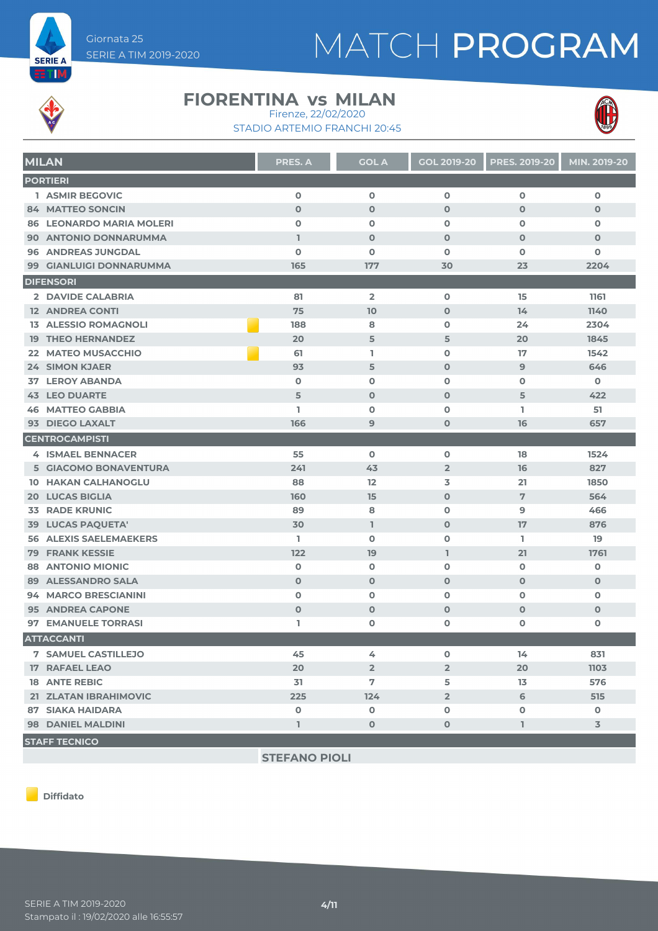

### MATCH PROGRAM



#### **FIORENTINA vs MILAN** Firenze, 22/02/2020





| <b>MILAN</b>                    | <b>PRES. A</b> | <b>GOL A</b>            | <b>GOL 2019-20</b> | <b>PRES. 2019-20</b> | MIN. 2019-20 |
|---------------------------------|----------------|-------------------------|--------------------|----------------------|--------------|
| <b>PORTIERI</b>                 |                |                         |                    |                      |              |
| 1 ASMIR BEGOVIC                 | $\mathbf 0$    | $\mathbf 0$             | $\mathbf 0$        | $\mathbf 0$          | $\mathbf 0$  |
| 84 MATTEO SONCIN                | $\mathbf 0$    | $\mathbf 0$             | $\mathbf 0$        | $\mathbf 0$          | $\mathbf 0$  |
| <b>86 LEONARDO MARIA MOLERI</b> | $\mathbf o$    | $\mathbf 0$             | $\mathbf 0$        | $\mathbf 0$          | $\mathbf 0$  |
| 90 ANTONIO DONNARUMMA           | $\mathbf{I}$   | $\mathbf 0$             | $\mathbf 0$        | $\mathbf 0$          | $\mathbf 0$  |
| <b>96 ANDREAS JUNGDAL</b>       | $\mathbf o$    | $\mathbf 0$             | $\mathbf 0$        | $\Omega$             | $\mathbf 0$  |
| 99 GIANLUIGI DONNARUMMA         | 165            | 177                     | 30                 | 23                   | 2204         |
| <b>DIFENSORI</b>                |                |                         |                    |                      |              |
| 2 DAVIDE CALABRIA               | 81             | $\overline{\mathbf{2}}$ | $\mathbf 0$        | 15                   | 1161         |
| <b>12 ANDREA CONTI</b>          | 75             | 10                      | $\mathbf 0$        | 14                   | 1140         |
| <b>13 ALESSIO ROMAGNOLI</b>     | 188            | 8                       | $\mathbf 0$        | 24                   | 2304         |
| <b>19 THEO HERNANDEZ</b>        | 20             | 5                       | 5                  | 20                   | 1845         |
| 22 MATEO MUSACCHIO              | 61             | T.                      | $\mathbf 0$        | 17                   | 1542         |
| 24 SIMON KJAER                  | 93             | 5                       | $\mathbf 0$        | 9                    | 646          |
| <b>LEROY ABANDA</b><br>37       | $\mathbf o$    | $\mathbf 0$             | $\mathbf 0$        | $\mathbf 0$          | 0            |
| <b>43 LEO DUARTE</b>            | 5              | $\mathbf 0$             | $\mathbf 0$        | 5                    | 422          |
| <b>46 MATTEO GABBIA</b>         | ı              | $\mathbf 0$             | $\mathbf{o}$       | I.                   | 51           |
| 93 DIEGO LAXALT                 | 166            | 9                       | $\mathbf 0$        | 16                   | 657          |
| <b>CENTROCAMPISTI</b>           |                |                         |                    |                      |              |
| <b>4 ISMAEL BENNACER</b>        | 55             | $\Omega$                | $\mathbf 0$        | 18                   | 1524         |
| 5 GIACOMO BONAVENTURA           | 241            | 43                      | $\overline{2}$     | 16                   | 827          |
| <b>10 HAKAN CALHANOGLU</b>      | 88             | 12                      | 3                  | 21                   | 1850         |
| <b>20 LUCAS BIGLIA</b>          | 160            | 15                      | $\mathbf 0$        | 7                    | 564          |
| <b>RADE KRUNIC</b><br>33        | 89             | 8                       | $\mathbf 0$        | 9                    | 466          |
| 39 LUCAS PAQUETA'               | 30             | L                       | $\mathbf 0$        | 17                   | 876          |
| <b>56 ALEXIS SAELEMAEKERS</b>   | L              | $\mathbf 0$             | $\mathbf 0$        | I.                   | 19           |
| <b>79 FRANK KESSIE</b>          | 122            | 19                      | $\mathbf{I}$       | 21                   | 1761         |
| <b>ANTONIO MIONIC</b><br>88     | $\mathbf o$    | $\mathbf 0$             | $\mathbf 0$        | $\mathbf 0$          | $\mathbf 0$  |
| <b>89 ALESSANDRO SALA</b>       | $\mathbf 0$    | $\mathbf 0$             | $\mathbf 0$        | $\mathbf 0$          | $\mathbf 0$  |
| 94 MARCO BRESCIANINI            | $\mathbf o$    | $\mathbf 0$             | $\mathbf 0$        | $\mathbf 0$          | $\mathbf 0$  |
| <b>95 ANDREA CAPONE</b>         | $\mathbf 0$    | $\mathbf 0$             | $\mathbf 0$        | $\mathbf 0$          | $\mathbf 0$  |
| 97 EMANUELE TORRASI             | L              | O                       | $\mathbf 0$        | O                    | 0            |
| <b>ATTACCANTI</b>               |                |                         |                    |                      |              |
| <b>7 SAMUEL CASTILLEJO</b>      | 45             | 4                       | $\mathbf 0$        | 14                   | 831          |
| <b>17 RAFAEL LEAO</b>           | 20             | $\overline{2}$          | $\overline{2}$     | 20                   | 1103         |
| <b>18 ANTE REBIC</b>            | 31             | 7                       | 5                  | 13 <sup>5</sup>      | 576          |
| 21 ZLATAN IBRAHIMOVIC           | 225            | 124                     | $\overline{2}$     | 6                    | 515          |
| <b>87 SIAKA HAIDARA</b>         | $\mathbf 0$    | $\mathbf 0$             | $\mathbf 0$        | $\mathbf 0$          | $\mathbf 0$  |
| <b>98 DANIEL MALDINI</b>        | $\mathbf{I}$   | $\mathbf 0$             | $\mathbf 0$        | L.                   | 3            |
| <b>STAFF TECNICO</b>            |                |                         |                    |                      |              |

**STEFANO PIOLI**

**Diffidato**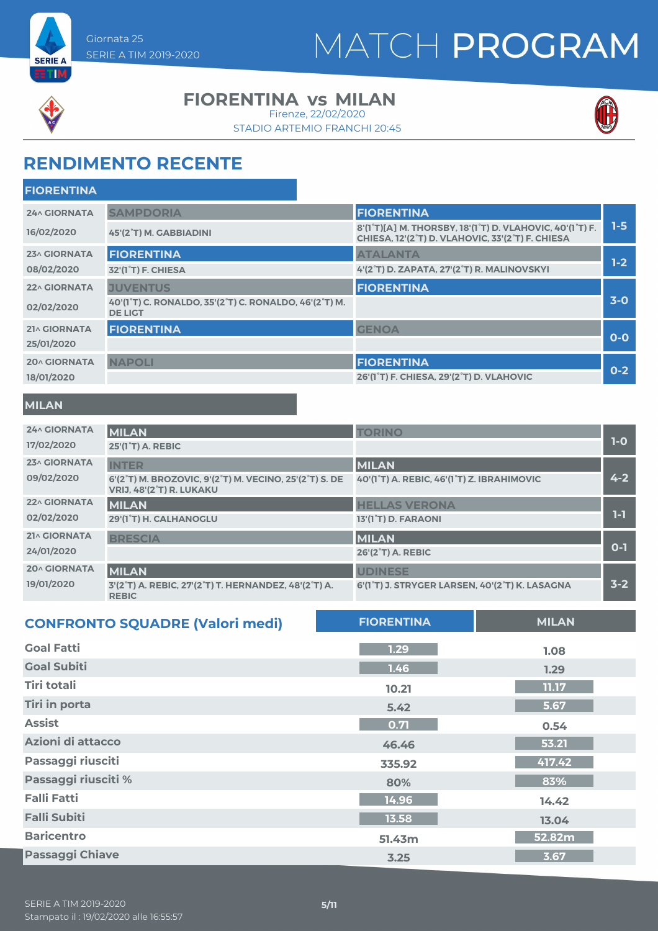



#### **FIORENTINA vs MILAN**

Firenze, 22/02/2020

STADIO ARTEMIO FRANCHI 20:45



### **RENDIMENTO RECENTE**

| <b>FIORENTINA</b>   |                                                                                                                |                                                                                                                                        |         |
|---------------------|----------------------------------------------------------------------------------------------------------------|----------------------------------------------------------------------------------------------------------------------------------------|---------|
| <b>24^ GIORNATA</b> | <b>SAMPDORIA</b>                                                                                               | <b>FIORENTINA</b>                                                                                                                      |         |
| 16/02/2020          | 45'(2°T) M. GABBIADINI                                                                                         | 8'(1°T)[A] M. THORSBY, 18'(1°T) D. VLAHOVIC, 40'(1°T) F.<br>CHIESA, 12'(2 <sup>°</sup> T) D. VLAHOVIC, 33'(2 <sup>°</sup> T) F. CHIESA | $1-5$   |
| 23^ GIORNATA        | <b>FIORENTINA</b>                                                                                              | <b>ATALANTA</b>                                                                                                                        |         |
| 08/02/2020          | 32'(1 <sup>°</sup> T) F. CHIESA                                                                                | 4'(2°T) D. ZAPATA, 27'(2°T) R. MALINOVSKYI                                                                                             | $1-2$   |
| <b>22^ GIORNATA</b> | <b>JUVENTUS</b>                                                                                                | <b>FIORENTINA</b>                                                                                                                      |         |
| 02/02/2020          | 40'(1 <sup>°</sup> T) C. RONALDO, 35'(2 <sup>°</sup> T) C. RONALDO, 46'(2 <sup>°</sup> T) M.<br><b>DE LIGT</b> |                                                                                                                                        | $3-0$   |
| 21^ GIORNATA        | <b>FIORENTINA</b>                                                                                              | <b>GENOA</b>                                                                                                                           |         |
| 25/01/2020          |                                                                                                                |                                                                                                                                        | $O-O$   |
| <b>20^ GIORNATA</b> | <b>NAPOLI</b>                                                                                                  | <b>FIORENTINA</b>                                                                                                                      |         |
| 18/01/2020          |                                                                                                                | 26'(1°T) F. CHIESA, 29'(2°T) D. VLAHOVIC                                                                                               | $0 - 2$ |
|                     |                                                                                                                |                                                                                                                                        |         |

#### **MILAN**

| <b>24^ GIORNATA</b><br>17/02/2020 | <b>MILAN</b><br><b>25'(1°T) A. REBIC</b>                                                                                         | <b>TORINO</b>                                  | $1-0$   |
|-----------------------------------|----------------------------------------------------------------------------------------------------------------------------------|------------------------------------------------|---------|
| 23^ GIORNATA                      | <b>INTER</b>                                                                                                                     | <b>MILAN</b>                                   |         |
| 09/02/2020                        | 6'(2 <sup>°</sup> T) M. BROZOVIC, 9'(2 <sup>°</sup> T) M. VECINO, 25'(2 <sup>°</sup> T) S. DE<br><b>VRIJ, 48'(2°T) R. LUKAKU</b> | 40'(1°T) A. REBIC, 46'(1°T) Z. IBRAHIMOVIC     | $4 - 2$ |
| 22^ GIORNATA                      | <b>MILAN</b>                                                                                                                     | <b>HELLAS VERONA</b>                           |         |
| 02/02/2020                        | 29'(1°T) H. CALHANOGLU                                                                                                           | 13'(1°T) D. FARAONI                            | 1-1     |
| 21^ GIORNATA                      | <b>BRESCIA</b>                                                                                                                   | <b>MILAN</b>                                   |         |
| 24/01/2020                        |                                                                                                                                  | 26'(2 <sup>°</sup> T) A. REBIC                 | $0 - 1$ |
| <b>20^ GIORNATA</b>               | <b>MILAN</b>                                                                                                                     | <b>UDINESE</b>                                 |         |
| 19/01/2020                        | 3'(2°T) A. REBIC, 27'(2°T) T. HERNANDEZ, 48'(2°T) A.<br><b>REBIC</b>                                                             | 6'(1°T) J. STRYGER LARSEN, 40'(2°T) K. LASAGNA | $3 - 2$ |

| <b>CONFRONTO SQUADRE (Valori medi)</b> | <b>FIORENTINA</b> | <b>MILAN</b> |
|----------------------------------------|-------------------|--------------|
| <b>Goal Fatti</b>                      | 1.29              | 1.08         |
| <b>Goal Subiti</b>                     | 1.46              | 1.29         |
| Tiri totali                            | 10.21             | 11.17        |
| <b>Tiri in porta</b>                   | 5.42              | 5.67         |
| <b>Assist</b>                          | 0.71              | 0.54         |
| Azioni di attacco                      | 46.46             | 53.21        |
| Passaggi riusciti                      | 335.92            | 417.42       |
| Passaggi riusciti %                    | 80%               | 83%          |
| <b>Falli Fatti</b>                     | 14.96             | 14.42        |
| <b>Falli Subiti</b>                    | 13.58             | 13.04        |
| <b>Baricentro</b>                      | 51.43m            | 52.82m       |
| <b>Passaggi Chiave</b>                 | 3.25              | 3.67         |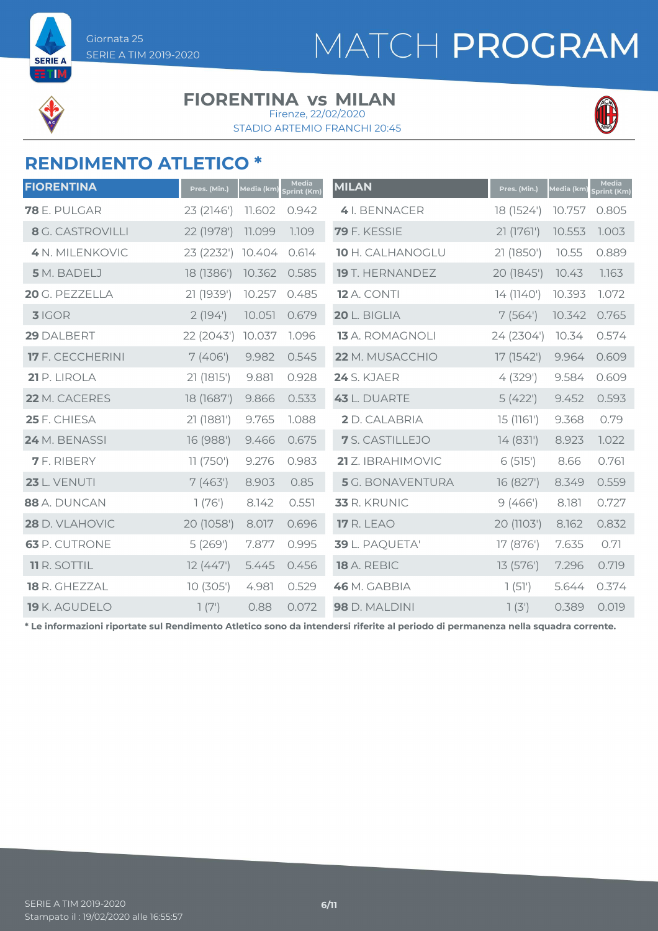



ETM

#### **FIORENTINA vs MILAN**

STADIO ARTEMIO FRANCHI 20:45 Firenze, 22/02/2020



#### **RENDIMENTO ATLETICO \***

| <b>FIORENTINA</b>       | Pres. (Min.) | Media (km) | <b>Media</b><br>print (Km) | <b>MILAN</b>            | Pres. (Min.) | Media (km) | <b>Media</b><br><b>Sprint (Km)</b> |
|-------------------------|--------------|------------|----------------------------|-------------------------|--------------|------------|------------------------------------|
| <b>78</b> E. PULGAR     | 23 (2146')   | 11.602     | 0.942                      | 4 I. BENNACER           | 18 (1524')   | 10.757     | 0.805                              |
| <b>8</b> G. CASTROVILLI | 22 (1978')   | 11.099     | 1.109                      | 79 F. KESSIE            | 21 (1761')   | 10.553     | 1.003                              |
| 4 N. MILENKOVIC         | 23 (2232')   | 10.404     | 0.614                      | 10 H. CALHANOGLU        | 21 (1850')   | 10.55      | 0.889                              |
| 5 M. BADELJ             | 18 (1386')   | 10.362     | 0.585                      | <b>19</b> T. HERNANDEZ  | 20 (1845')   | 10.43      | 1.163                              |
| 20 G. PEZZELLA          | 21 (1939')   | 10.257     | 0.485                      | <b>12</b> A. CONTI      | 14 (1140')   | 10.393     | 1.072                              |
| 3 IGOR                  | 2(194)       | 10.051     | 0.679                      | 20 L. BIGLIA            | 7(564)       | 10.342     | 0.765                              |
| 29 DALBERT              | 22 (2043')   | 10.037     | 1.096                      | <b>13</b> A. ROMAGNOLI  | 24 (2304')   | 10.34      | 0.574                              |
| 17 F. CECCHERINI        | 7(406)       | 9.982      | 0.545                      | 22 M. MUSACCHIO         | 17 (1542')   | 9.964      | 0.609                              |
| 21 P. LIROLA            | 21 (1815')   | 9.881      | 0.928                      | <b>24</b> S. KJAER      | 4(329)       | 9.584      | 0.609                              |
| 22 M. CACERES           | 18 (1687')   | 9.866      | 0.533                      | 43 L. DUARTE            | 5(422)       | 9.452      | 0.593                              |
| 25 F. CHIESA            | 21 (1881')   | 9.765      | 1.088                      | 2 D. CALABRIA           | 15 (1161')   | 9.368      | 0.79                               |
| 24 M. BENASSI           | 16 (988')    | 9.466      | 0.675                      | 7 S. CASTILLEJO         | 14 (831')    | 8.923      | 7.022                              |
| <b>7</b> F. RIBERY      | 11 (750)     | 9.276      | 0.983                      | 21 Z. IBRAHIMOVIC       | 6(515)       | 8.66       | 0.761                              |
| <b>23</b> L. VENUTI     | 7(463)       | 8.903      | 0.85                       | <b>5</b> G. BONAVENTURA | 16 (827')    | 8.349      | 0.559                              |
| 88 A. DUNCAN            | 1(76)        | 8.142      | 0.551                      | 33 R. KRUNIC            | 9(466')      | 8.181      | 0.727                              |
| 28 D. VLAHOVIC          | 20 (1058')   | 8.017      | 0.696                      | <b>17 R. LEAO</b>       | 20 (1103')   | 8.162      | 0.832                              |
| <b>63</b> P. CUTRONE    | 5(269)       | 7.877      | 0.995                      | 39 L. PAQUETA'          | 17 (876')    | 7.635      | 0.71                               |
| <b>11 R. SOTTIL</b>     | 12(447)      | 5.445      | 0.456                      | 18 A. REBIC             | 13 (576')    | 7.296      | 0.719                              |
| <b>18 R. GHEZZAL</b>    | 10(305)      | 4.981      | 0.529                      | 46 M. GABBIA            | 1(51)        | 5.644      | 0.374                              |
| 19 K. AGUDELO           | 7(7)         | 0.88       | 0.072                      | 98 D. MALDINI           | 7(3)         | 0.389      | 0.019                              |

**\* Le informazioni riportate sul Rendimento Atletico sono da intendersi riferite al periodo di permanenza nella squadra corrente.**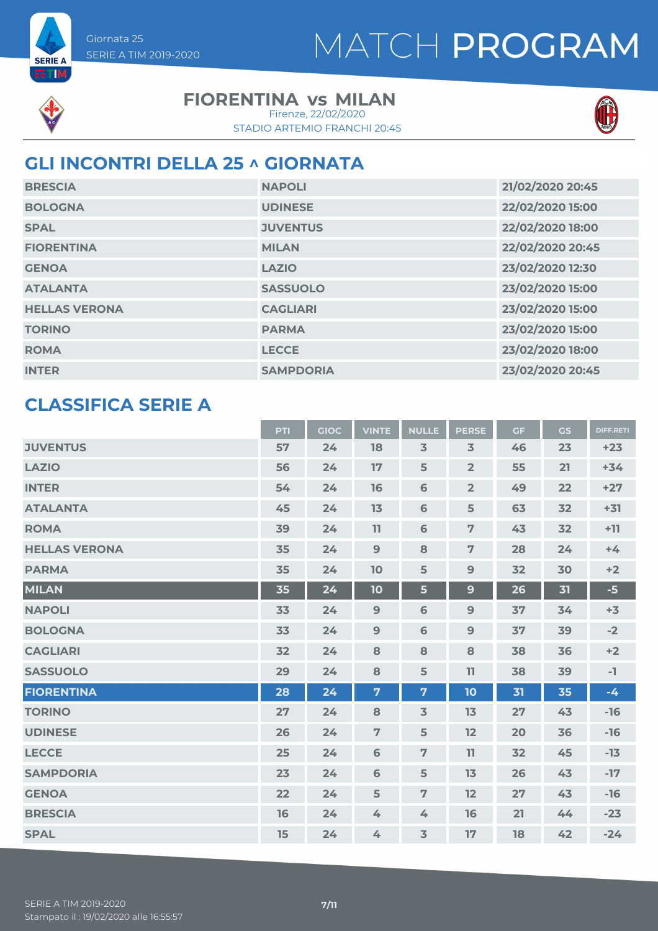



**SERIE A ETIM** 

#### **FIORENTINA vs MILAN**

STADIO ARTEMIO FRANCHI 20:45 Firenze, 22/02/2020



#### **GLI INCONTRI DELLA 25 ^ GIORNATA**

| <b>BRESCIA</b>       | <b>NAPOLI</b>    | 21/02/2020 20:45 |
|----------------------|------------------|------------------|
| <b>BOLOGNA</b>       | <b>UDINESE</b>   | 22/02/2020 15:00 |
| <b>SPAL</b>          | <b>JUVENTUS</b>  | 22/02/2020 18:00 |
| <b>FIORENTINA</b>    | <b>MILAN</b>     | 22/02/2020 20:45 |
| <b>GENOA</b>         | <b>LAZIO</b>     | 23/02/2020 12:30 |
| <b>ATALANTA</b>      | <b>SASSUOLO</b>  | 23/02/2020 15:00 |
| <b>HELLAS VERONA</b> | <b>CAGLIARI</b>  | 23/02/2020 15:00 |
| <b>TORINO</b>        | <b>PARMA</b>     | 23/02/2020 15:00 |
| <b>ROMA</b>          | <b>LECCE</b>     | 23/02/2020 18:00 |
| <b>INTER</b>         | <b>SAMPDORIA</b> | 23/02/2020 20:45 |

#### **CLASSIFICA SERIE A**

|                      | <b>PTI</b> | <b>GIOC</b> | <b>VINTE</b>   | <b>NULLE</b>   | <b>PERSE</b>   | <b>GF</b> | <b>GS</b> | <b>DIFF.RETI</b> |
|----------------------|------------|-------------|----------------|----------------|----------------|-----------|-----------|------------------|
| <b>JUVENTUS</b>      | 57         | 24          | 18             | 3              | $\overline{3}$ | 46        | 23        | $+23$            |
| <b>LAZIO</b>         | 56         | 24          | 17             | 5              | $\overline{2}$ | 55        | 21        | $+34$            |
| <b>INTER</b>         | 54         | 24          | 16             | $\mathbf 6$    | $\overline{2}$ | 49        | 22        | $+27$            |
| <b>ATALANTA</b>      | 45         | 24          | 13             | $\mathbf 6$    | 5              | 63        | 32        | $+31$            |
| <b>ROMA</b>          | 39         | 24          | 11             | 6              | $\overline{7}$ | 43        | 32        | $+11$            |
| <b>HELLAS VERONA</b> | 35         | 24          | 9              | 8              | $\overline{7}$ | 28        | 24        | $+4$             |
| <b>PARMA</b>         | 35         | 24          | 10             | 5              | 9              | 32        | 30        | $+2$             |
| <b>MILAN</b>         | 35         | 24          | 10             | 5              | $\mathbf{9}$   | 26        | 31        | $-5$             |
| <b>NAPOLI</b>        | 33         | 24          | 9              | 6              | $\overline{9}$ | 37        | 34        | $+3$             |
| <b>BOLOGNA</b>       | 33         | 24          | $\overline{9}$ | $\mathbf 6$    | $9$            | 37        | 39        | $-2$             |
| <b>CAGLIARI</b>      | 32         | 24          | 8              | 8              | 8              | 38        | 36        | $+2$             |
| <b>SASSUOLO</b>      | 29         | 24          | 8              | 5              | 11             | 38        | 39        | $-1$             |
| <b>FIORENTINA</b>    | 28         | 24          | 7              | 7              | 10             | 31        | 35        | $-4$             |
| <b>TORINO</b>        | 27         | 24          | 8              | $\overline{3}$ | 13             | 27        | 43        | $-16$            |
| <b>UDINESE</b>       | 26         | 24          | $\overline{7}$ | 5              | 12             | 20        | 36        | $-16$            |
| <b>LECCE</b>         | 25         | 24          | 6              | $\overline{7}$ | 11             | 32        | 45        | $-13$            |
| <b>SAMPDORIA</b>     | 23         | 24          | $6\phantom{1}$ | 5              | 13             | 26        | 43        | $-17$            |
| <b>GENOA</b>         | 22         | 24          | 5              | 7              | 12             | 27        | 43        | $-16$            |
| <b>BRESCIA</b>       | 16         | 24          | 4              | 4              | 16             | 21        | 44        | $-23$            |
| <b>SPAL</b>          | 15         | 24          | 4              | $\overline{3}$ | 17             | 18        | 42        | $-24$            |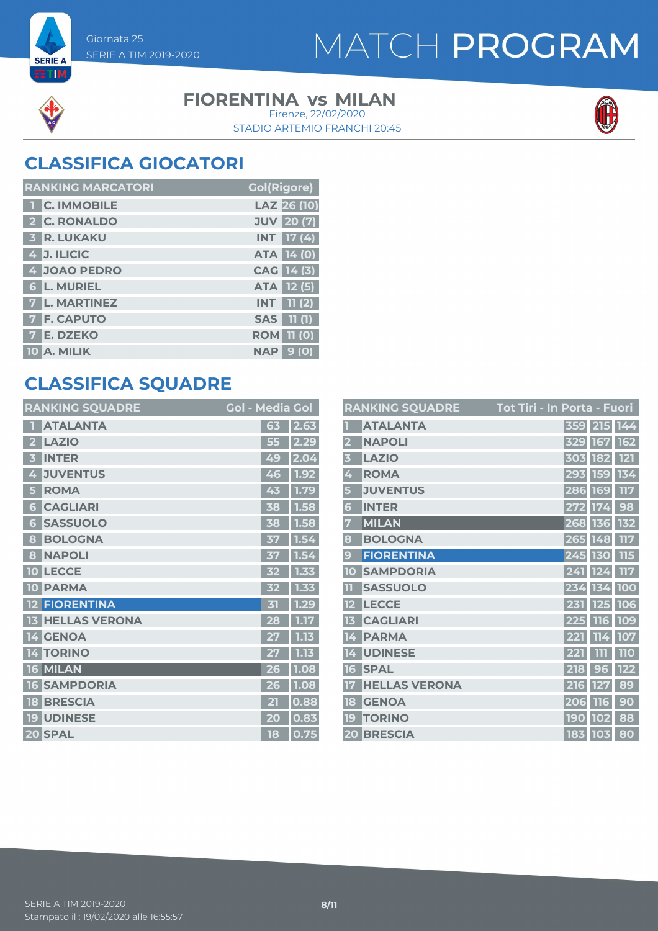



**SERIE A ETIM** 

#### **FIORENTINA vs MILAN**

STADIO ARTEMIO FRANCHI 20:45 Firenze, 22/02/2020



#### **CLASSIFICA GIOCATORI**

| <b>RANKING MARCATORI</b> | <b>Gol(Rigore)</b> |
|--------------------------|--------------------|
| <b>T C. IMMOBILE</b>     | LAZ 26 (10)        |
| 2 C. RONALDO             | <b>JUV</b> 20 (7)  |
| <b>3 R. LUKAKU</b>       | $INT$ 17 (4)       |
| 4 J. ILICIC              | <b>ATA 14 (0)</b>  |
| 4 JOAO PEDRO             | CAG 14 (3)         |
| <b>6 L. MURIEL</b>       | ATA 12 (5)         |
| 7 L. MARTINEZ            | $INT$ $11(2)$      |
| <b>7 F. CAPUTO</b>       | <b>SAS</b> 11 (1)  |
| <b>7 E. DZEKO</b>        | <b>ROM 11 (0)</b>  |
| 10 A. MILIK              | 9(0)<br><b>NAP</b> |

#### **CLASSIFICA SQUADRE**

| <b>RANKING SQUADRE</b>          | <b>Gol - Media Gol</b> |      |
|---------------------------------|------------------------|------|
| <b>ATALANTA</b>                 | 63                     | 2.63 |
| <b>LAZIO</b>                    | 55                     | 2.29 |
| <b>INTER</b><br>3               | 49                     | 2.04 |
| <b>JUVENTUS</b><br>4            | 46                     | 1.92 |
| <b>ROMA</b><br>5                | 43                     | 1.79 |
| <b>CAGLIARI</b><br>6            | 38                     | 1.58 |
| <b>SASSUOLO</b><br>6            | 38                     | 1.58 |
| <b>BOLOGNA</b><br>8             | 37                     | 1.54 |
| <b>NAPOLI</b><br>8              | 37                     | 1.54 |
| <b>LECCE</b><br>10              | 32                     | 1.33 |
| <b>PARMA</b><br><b>10</b>       | 32                     | 1.33 |
| <b>FIORENTINA</b>               | 内                      | 1.29 |
| <b>HELLAS VERONA</b>            | 28                     | 1.17 |
| <b>GENOA</b><br>14 <sup>1</sup> | 27                     | 1.13 |
| <b>TORINO</b><br>4              |                        | 1.13 |
| 16 MILAN                        | 26                     | 1.08 |
| <b>SAMPDORIA</b><br>16          | 26                     | 1.08 |
| <b>BRESCIA</b><br>18            | $\overline{2}$ T       | 0.88 |
| <b>UDINESE</b><br>19            | 20                     | 0.83 |
| 20 SPAL                         | 18                     | 0.75 |

|                         | <b>RANKING SQUADRE</b> | Tot Tiri - In Porta - Fuori |                   |            |
|-------------------------|------------------------|-----------------------------|-------------------|------------|
|                         | <b>ATALANTA</b>        | 359 215 144                 |                   |            |
| $\overline{\mathbf{2}}$ | <b>NAPOLI</b>          | 329 167                     |                   | 162        |
| $\overline{\mathbf{3}}$ | <b>LAZIO</b>           | 303 182                     |                   | <b>121</b> |
| 4                       | <b>ROMA</b>            | 293                         | <b>159</b>        | 134        |
| 5                       | <b>JUVENTUS</b>        | 286 169                     |                   | 117        |
| 6                       | <b>INTER</b>           | 272                         | 174               | 98         |
| 7                       | <b>MILAN</b>           | 268 136                     |                   | 132        |
| 8                       | <b>BOLOGNA</b>         | 265 148                     |                   | 117        |
| 9                       | <b>FIORENTINA</b>      | 245 130                     |                   | 115        |
| 10                      | <b>SAMPDORIA</b>       | 241 124                     |                   | 117        |
| 11                      | <b>SASSUOLO</b>        | 234                         | 134               | 100        |
| 12                      | <b>LECCE</b>           | 231                         | 125               | 106        |
| 13                      | <b>CAGLIARI</b>        | 225 116                     |                   | 109        |
| 14                      | <b>PARMA</b>           | 221 114                     |                   | 107        |
| 14                      | <b>UDINESE</b>         | 221                         | 111               | <b>110</b> |
| 16                      | <b>SPAL</b>            | 218                         | $\mathbf{g}$<br>6 | 122        |
| 17                      | <b>HELLAS VERONA</b>   | 216                         | 127               | 89         |
| 18                      | <b>GENOA</b>           | 206                         | <b>116</b>        | 90         |
| 19                      | <b>TORINO</b>          | <b>190</b>                  | 102               | 88         |
|                         | <b>20 BRESCIA</b>      | 183 103                     |                   | 80         |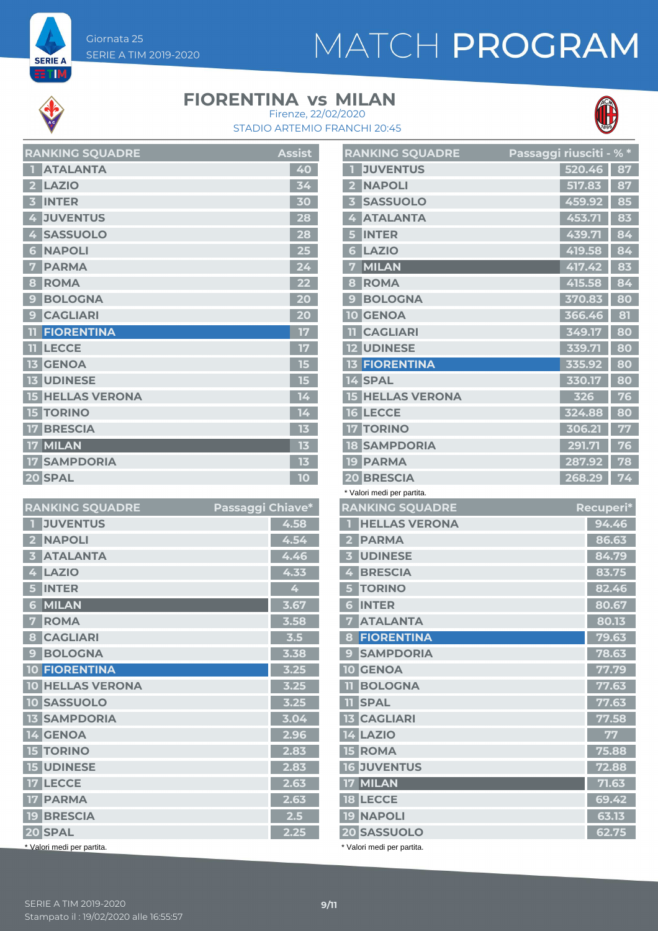# MATCH PROGRAM



**SERIE A** ET M

#### **FIORENTINA vs MILAN**



STADIO ARTEMIO FRANCHI 20:45 Firenze, 22/02/2020

|                         | <b>RANKING SQUADRE</b>  | <b>Assist</b>   |
|-------------------------|-------------------------|-----------------|
|                         | <b>ATALANTA</b>         | 40              |
| $\overline{\mathbf{z}}$ | <b>LAZIO</b>            | $\overline{3}4$ |
| 3                       | <b>INTER</b>            | 30              |
| 4                       | <b>JUVENTUS</b>         | 28              |
| 4                       | <b>SASSUOLO</b>         | 28              |
| 6                       | <b>NAPOLI</b>           | 25              |
| 7                       | <b>PARMA</b>            | 24              |
| 8                       | <b>ROMA</b>             | 22              |
| $\mathbf{C}$            | <b>BOLOGNA</b>          | 20              |
| 9                       | <b>CAGLIARI</b>         | 20              |
|                         | <b>FIORENTINA</b>       | 17              |
|                         | <b>LECCE</b>            | 17              |
|                         | <b>13 GENOA</b>         | 15              |
|                         | <b>13 UDINESE</b>       | 15              |
|                         | <b>15 HELLAS VERONA</b> | 14              |
| 15                      | <b>TORINO</b>           | 14              |
| 17                      | <b>BRESCIA</b>          | 13              |
| 17                      | MILAN                   | 13              |
| 17 <sup>1</sup>         | <b>SAMPDORIA</b>        | 13              |
|                         | 20 SPAL                 | 10              |

| <b>RANKING SQUADRE</b>            | Passaggi Chiave* |      |
|-----------------------------------|------------------|------|
| <b>JUVENTUS</b><br>$\blacksquare$ |                  | 4.58 |
| <b>NAPOLI</b><br>$\overline{2}$   |                  | 4.54 |
| <b>ATALANTA</b><br>3              |                  | 4.46 |
| 4<br><b>LAZIO</b>                 |                  | 4.33 |
| <b>INTER</b><br>5                 |                  | 4    |
| MILAN<br>6                        |                  | 3.67 |
| <b>ROMA</b><br>7                  |                  | 3.58 |
| <b>CAGLIARI</b><br>8              |                  | 3.5  |
| <b>BOLOGNA</b><br>9               |                  | 3.38 |
| <b>10 FIORENTINA</b>              |                  | 3.25 |
| <b>10 HELLAS VERONA</b>           |                  | 3.25 |
| 10 SASSUOLO                       |                  | 3.25 |
| <b>13 SAMPDORIA</b>               |                  | 3.04 |
| 14 GENOA                          |                  | 2.96 |
| <b>15 TORINO</b>                  |                  | 2.83 |
| <b>15 UDINESE</b>                 |                  | 2.83 |
| <b>17 LECCE</b>                   |                  | 2.63 |
| <b>17 PARMA</b>                   |                  | 2.63 |
| <b>19 BRESCIA</b>                 |                  | 2.5  |
| 20 SPAL                           |                  | 2.25 |
| * Valori medi per partita.        |                  |      |

|                         | <b>RANKING SQUADRE</b>                 | <u>Passaggi riusciti - % *</u> |        |                |
|-------------------------|----------------------------------------|--------------------------------|--------|----------------|
| П                       | <b>JUVENTUS</b>                        |                                | 520.46 | 87             |
| 2 <sup>1</sup>          | <b>NAPOLI</b>                          |                                | 517.83 | 87             |
| $\overline{\mathbf{3}}$ | <b>SASSUOLO</b>                        |                                | 459.92 | 85             |
|                         | 4 ATALANTA                             |                                | 453.71 | 83             |
| 5 <sup>1</sup>          | <b>INTER</b>                           |                                | 439.71 | 84             |
| 6 <sup>1</sup>          | <b>LAZIO</b>                           |                                | 419.58 | 84             |
| $\overline{\mathbf{z}}$ | <b>MILAN</b>                           |                                | 417.42 | 83             |
| 8                       | <b>ROMA</b>                            |                                | 415.58 | 84             |
| 9 <sup>1</sup>          | <b>BOLOGNA</b>                         |                                | 370.83 | 80             |
|                         | <b>10 GENOA</b>                        |                                | 366.46 | 81             |
|                         | <b>II CAGLIARI</b>                     |                                | 349.17 | 80             |
|                         | <b>12 UDINESE</b>                      |                                | 339.71 | 80             |
|                         | <b>13 FIORENTINA</b>                   |                                | 335.92 | 80             |
|                         | 14 SPAL                                |                                | 330.17 | 80             |
|                         | <b>15 HELLAS VERONA</b>                |                                | 326    | 76             |
|                         | <b>16 LECCE</b>                        |                                | 324.88 | 80             |
|                         | <b>17 TORINO</b>                       |                                | 306.21 | 77             |
|                         | <b>18 SAMPDORIA</b>                    |                                | 291.71 | 76             |
|                         | <b>19 PARMA</b>                        |                                | 287.92 | 78             |
|                         | <b>20 BRESCIA</b>                      |                                | 268.29 | 74             |
|                         |                                        |                                |        |                |
|                         | * Valori medi per partita.             |                                |        |                |
|                         | <b>RANKING SQUADRE</b>                 |                                |        | Recuperi*      |
| П                       | <b>HELLAS VERONA</b>                   |                                |        | 94.46          |
|                         | 2 PARMA                                |                                |        | 86.63          |
|                         | <b>3 UDINESE</b>                       |                                |        | 84.79          |
|                         | 4 BRESCIA                              |                                |        | 83.75          |
|                         | <b>5 TORINO</b>                        |                                |        | 82.46          |
|                         | <b>6 INTER</b>                         |                                |        | 80.67          |
| $\overline{\mathbf{7}}$ | <b>ATALANTA</b>                        |                                |        | 80.13          |
|                         | <b>8 FIORENTINA</b>                    |                                |        | 79.63          |
|                         | <b>9 SAMPDORIA</b>                     |                                |        | 78.63          |
|                         | <b>10 GENOA</b>                        |                                |        | 77.79          |
|                         | <b>TI BOLOGNA</b>                      |                                |        | 77.63          |
|                         | <b>TI SPAL</b>                         |                                |        | 77.63          |
|                         | <b>13 CAGLIARI</b>                     |                                |        | 77.58          |
|                         | <b>14 LAZIO</b>                        |                                |        | 77             |
|                         | <b>15 ROMA</b>                         |                                |        | 75.88          |
|                         | <b>16 JUVENTUS</b>                     |                                |        | 72.88          |
|                         | 17 MILAN                               |                                |        | 71.63          |
|                         | <b>18 LECCE</b>                        |                                |        | 69.42          |
|                         | <b>19 NAPOLI</b><br><b>20 SASSUOLO</b> |                                |        | 63.13<br>62.75 |

\* Valori medi per partita.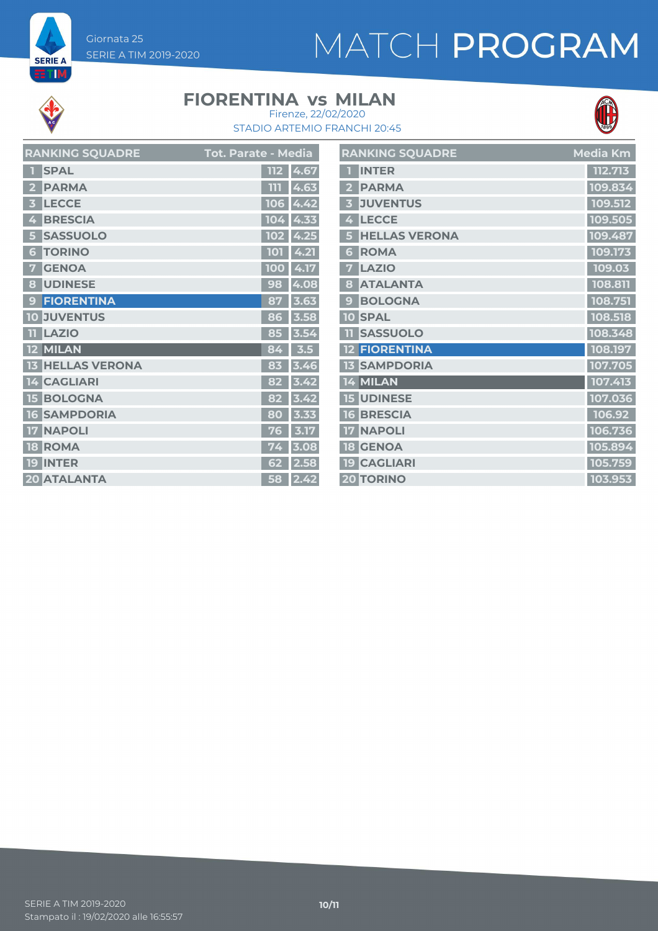# MATCH PROGRAM



**SERIE A** 

#### **FIORENTINA vs MILAN**



STADIO ARTEMIO FRANCHI 20:45 Firenze, 22/02/2020

| <b>RANKING SQUADRE</b> | Tot. Parate - Media |
|------------------------|---------------------|
| <b>SPAL</b>            | 4.67<br>112         |
| <b>PARMA</b>           | 4.63<br>m           |
| <b>LECCE</b>           | 4.42                |
| В                      | 106                 |
| <b>BRESCIA</b>         | 104                 |
| 4                      | 4.33                |
| <b>SASSUOLO</b>        | 4.25                |
| 5                      | 102                 |
| <b>TORINO</b>          | 4.21                |
| 6                      | 101                 |
| <b>GENOA</b>           | 4.17                |
| 7                      | 100                 |
| <b>UDINESE</b>         | 98                  |
| 8                      | 4.08                |
| <b>FIORENTINA</b>      | 87                  |
| $\mathbf{g}$           | 3.63                |
| <b>JUVENTUS</b>        | 3.58                |
| 10                     | 86                  |
| <b>LAZIO</b>           | 3.54<br>85          |
| MILAN                  | 3.5<br>84           |
| <b>HELLAS VERONA</b>   | 3.46<br>83          |
| <b>14 CAGLIARI</b>     | 82<br>3.42          |
| <b>BOLOGNA</b>         | 82                  |
| 15                     | 3.42                |
| <b>SAMPDORIA</b>       | 80                  |
| 16                     | 3.33                |
| <b>NAPOLI</b>          | 3.17<br>76          |
| <b>ROMA</b>            | 3.08                |
| 18                     | 74                  |
| <b>INTER</b>           | 2.58                |
| 19                     | 62                  |
| <b>20 ATALANTA</b>     | 2.42<br>58          |

|                         | <b>RANKING SQUADRE</b> | Media Km |
|-------------------------|------------------------|----------|
| п                       | <b>INTER</b>           | 112.713  |
| $\overline{\mathbf{2}}$ | <b>PARMA</b>           | 109.834  |
| $\overline{\mathbf{3}}$ | <b>JUVENTUS</b>        | 109.512  |
| 4                       | <b>LECCE</b>           | 109.505  |
| 5                       | <b>HELLAS VERONA</b>   | 109.487  |
| 6                       | <b>ROMA</b>            | 109.173  |
| 7                       | <b>LAZIO</b>           | 109.03   |
| 8                       | <b>ATALANTA</b>        | 108.811  |
| 9                       | <b>BOLOGNA</b>         | 108.751  |
|                         | <b>10 SPAL</b>         | 108.518  |
| 11                      | <b>SASSUOLO</b>        | 108.348  |
|                         | <b>12 FIORENTINA</b>   | 108.197  |
|                         | <b>13 SAMPDORIA</b>    | 107.705  |
|                         | 14 MILAN               | 107.413  |
|                         | <b>15 UDINESE</b>      | 107.036  |
|                         | <b>16 BRESCIA</b>      | 106.92   |
|                         | <b>17 NAPOLI</b>       | 106.736  |
|                         | <b>18 GENOA</b>        | 105.894  |
|                         | <b>19 CAGLIARI</b>     | 105.759  |
|                         | <b>20 TORINO</b>       | 103.953  |